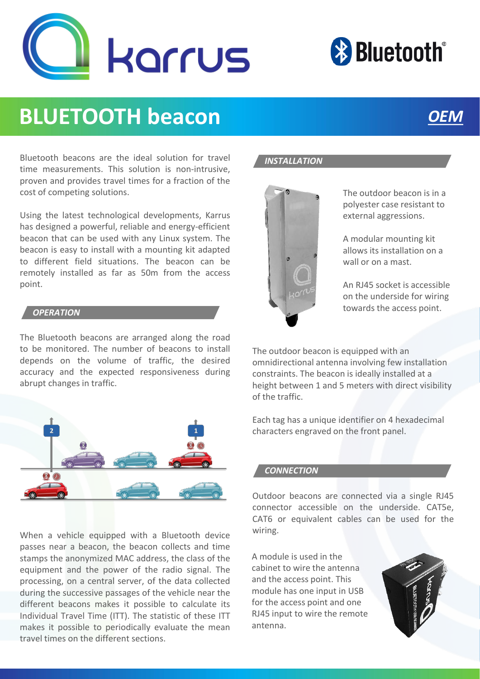



# **BLUETOOTH beacon** *OEM*

Bluetooth beacons are the ideal solution for travel time measurements. This solution is non-intrusive, proven and provides travel times for a fraction of the cost of competing solutions.

Using the latest technological developments, Karrus has designed a powerful, reliable and energy-efficient beacon that can be used with any Linux system. The beacon is easy to install with a mounting kit adapted to different field situations. The beacon can be remotely installed as far as 50m from the access point.

#### *OPERATION*

The Bluetooth beacons are arranged along the road to be monitored. The number of beacons to install depends on the volume of traffic, the desired accuracy and the expected responsiveness during abrupt changes in traffic.



When a vehicle equipped with a Bluetooth device passes near a beacon, the beacon collects and time stamps the anonymized MAC address, the class of the equipment and the power of the radio signal. The processing, on a central server, of the data collected during the successive passages of the vehicle near the different beacons makes it possible to calculate its Individual Travel Time (ITT). The statistic of these ITT makes it possible to periodically evaluate the mean travel times on the different sections.





The outdoor beacon is in a polyester case resistant to external aggressions.

A modular mounting kit allows its installation on a wall or on a mast.

An RJ45 socket is accessible on the underside for wiring towards the access point.

The outdoor beacon is equipped with an omnidirectional antenna involving few installation constraints. The beacon is ideally installed at a height between 1 and 5 meters with direct visibility of the traffic.

Each tag has a unique identifier on 4 hexadecimal characters engraved on the front panel.

#### *CONNECTION*

Outdoor beacons are connected via a single RJ45 connector accessible on the underside. CAT5e, CAT6 or equivalent cables can be used for the wiring.

A module is used in the cabinet to wire the antenna and the access point. This module has one input in USB for the access point and one RJ45 input to wire the remote antenna.